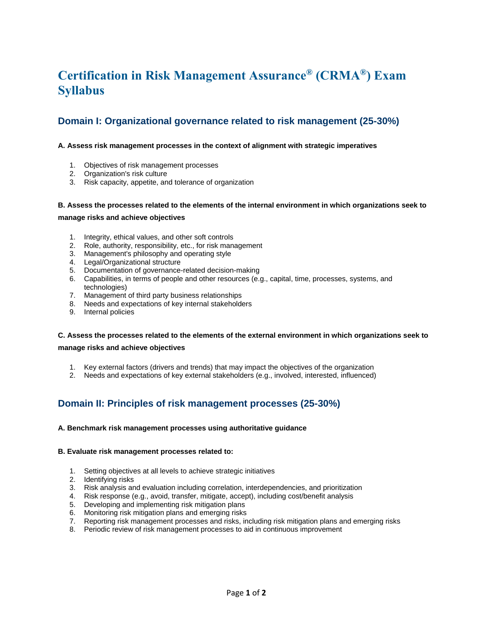# **Certification in Risk Management Assurance® (CRMA®) Exam Syllabus**

# **Domain I: Organizational governance related to risk management (25-30%)**

#### **A. Assess risk management processes in the context of alignment with strategic imperatives**

- 1. Objectives of risk management processes
- 2. Organization's risk culture
- 3. Risk capacity, appetite, and tolerance of organization

### **B. Assess the processes related to the elements of the internal environment in which organizations seek to manage risks and achieve objectives**

- 1. Integrity, ethical values, and other soft controls
- 2. Role, authority, responsibility, etc., for risk management
- 3. Management's philosophy and operating style
- 4. Legal/Organizational structure
- 5. Documentation of governance-related decision-making
- 6. Capabilities, in terms of people and other resources (e.g., capital, time, processes, systems, and technologies)
- 7. Management of third party business relationships
- 8. Needs and expectations of key internal stakeholders
- 9. Internal policies

### **C. Assess the processes related to the elements of the external environment in which organizations seek to manage risks and achieve objectives**

- 1. Key external factors (drivers and trends) that may impact the objectives of the organization
- 2. Needs and expectations of key external stakeholders (e.g., involved, interested, influenced)

# **Domain II: Principles of risk management processes (25-30%)**

#### **A. Benchmark risk management processes using authoritative guidance**

#### **B. Evaluate risk management processes related to:**

- 1. Setting objectives at all levels to achieve strategic initiatives
- 2. Identifying risks
- 3. Risk analysis and evaluation including correlation, interdependencies, and prioritization
- 4. Risk response (e.g., avoid, transfer, mitigate, accept), including cost/benefit analysis
- 5. Developing and implementing risk mitigation plans
- 6. Monitoring risk mitigation plans and emerging risks
- 7. Reporting risk management processes and risks, including risk mitigation plans and emerging risks
- 8. Periodic review of risk management processes to aid in continuous improvement